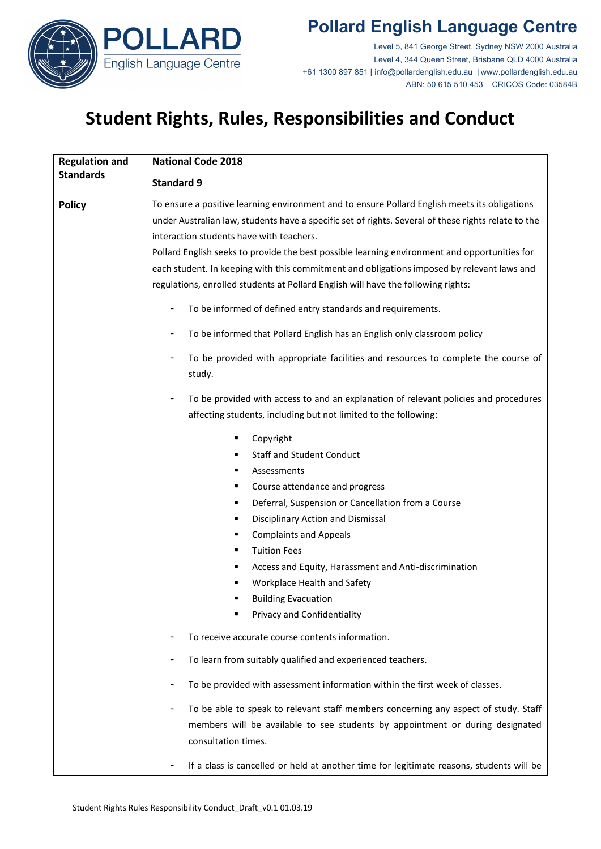

# **Pollard English Language Centre**

Level 5, 841 George Street, Sydney NSW 2000 Australia Level 4, 344 Queen Street, Brisbane QLD 4000 Australia +61 1300 897 851 | info@pollardenglish.edu.au | www.pollardenglish.edu.au ABN: 50 615 510 453 CRICOS Code: 03584B

# **Student Rights, Rules, Responsibilities and Conduct**

| <b>Regulation and</b> | <b>National Code 2018</b>                                                                            |
|-----------------------|------------------------------------------------------------------------------------------------------|
| <b>Standards</b>      | <b>Standard 9</b>                                                                                    |
| <b>Policy</b>         | To ensure a positive learning environment and to ensure Pollard English meets its obligations        |
|                       | under Australian law, students have a specific set of rights. Several of these rights relate to the  |
|                       | interaction students have with teachers.                                                             |
|                       | Pollard English seeks to provide the best possible learning environment and opportunities for        |
|                       | each student. In keeping with this commitment and obligations imposed by relevant laws and           |
|                       | regulations, enrolled students at Pollard English will have the following rights:                    |
|                       | To be informed of defined entry standards and requirements.<br>٠                                     |
|                       | To be informed that Pollard English has an English only classroom policy                             |
|                       | To be provided with appropriate facilities and resources to complete the course of<br>study.         |
|                       | To be provided with access to and an explanation of relevant policies and procedures                 |
|                       | affecting students, including but not limited to the following:                                      |
|                       | Copyright<br>٠                                                                                       |
|                       | <b>Staff and Student Conduct</b><br>٠                                                                |
|                       | Assessments<br>٠                                                                                     |
|                       | Course attendance and progress<br>٠                                                                  |
|                       | Deferral, Suspension or Cancellation from a Course<br>٠                                              |
|                       | Disciplinary Action and Dismissal<br>٠                                                               |
|                       | <b>Complaints and Appeals</b><br>٠                                                                   |
|                       | <b>Tuition Fees</b><br>٠                                                                             |
|                       | Access and Equity, Harassment and Anti-discrimination<br>٠                                           |
|                       | Workplace Health and Safety                                                                          |
|                       | <b>Building Evacuation</b>                                                                           |
|                       | Privacy and Confidentiality                                                                          |
|                       | To receive accurate course contents information.                                                     |
|                       | To learn from suitably qualified and experienced teachers.                                           |
|                       | To be provided with assessment information within the first week of classes.                         |
|                       | To be able to speak to relevant staff members concerning any aspect of study. Staff                  |
|                       | members will be available to see students by appointment or during designated<br>consultation times. |
|                       | If a class is cancelled or held at another time for legitimate reasons, students will be             |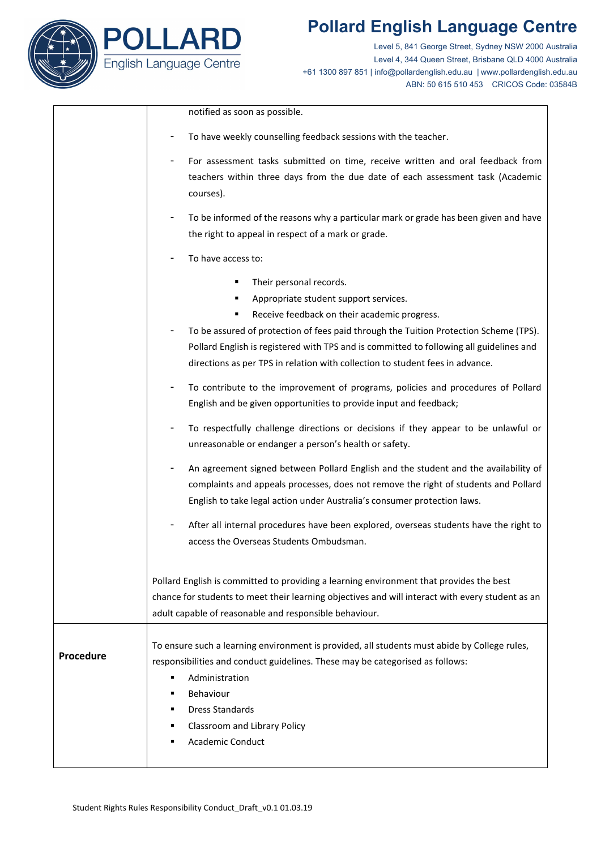



D

Level 5, 841 George Street, Sydney NSW 2000 Australia Level 4, 344 Queen Street, Brisbane QLD 4000 Australia +61 1300 897 851 | info@pollardenglish.edu.au | www.pollardenglish.edu.au ABN: 50 615 510 453 CRICOS Code: 03584B

|           | notified as soon as possible.                                                                                                                                                 |
|-----------|-------------------------------------------------------------------------------------------------------------------------------------------------------------------------------|
|           | To have weekly counselling feedback sessions with the teacher.                                                                                                                |
|           | For assessment tasks submitted on time, receive written and oral feedback from                                                                                                |
|           | teachers within three days from the due date of each assessment task (Academic                                                                                                |
|           | courses).                                                                                                                                                                     |
|           | To be informed of the reasons why a particular mark or grade has been given and have                                                                                          |
|           | the right to appeal in respect of a mark or grade.                                                                                                                            |
|           | To have access to:                                                                                                                                                            |
|           | Their personal records.                                                                                                                                                       |
|           | Appropriate student support services.                                                                                                                                         |
|           | Receive feedback on their academic progress.                                                                                                                                  |
|           | To be assured of protection of fees paid through the Tuition Protection Scheme (TPS).                                                                                         |
|           | Pollard English is registered with TPS and is committed to following all guidelines and                                                                                       |
|           | directions as per TPS in relation with collection to student fees in advance.                                                                                                 |
|           | To contribute to the improvement of programs, policies and procedures of Pollard                                                                                              |
|           | English and be given opportunities to provide input and feedback;                                                                                                             |
|           | To respectfully challenge directions or decisions if they appear to be unlawful or                                                                                            |
|           | unreasonable or endanger a person's health or safety.                                                                                                                         |
|           | An agreement signed between Pollard English and the student and the availability of                                                                                           |
|           | complaints and appeals processes, does not remove the right of students and Pollard                                                                                           |
|           | English to take legal action under Australia's consumer protection laws.                                                                                                      |
|           | After all internal procedures have been explored, overseas students have the right to                                                                                         |
|           | access the Overseas Students Ombudsman.                                                                                                                                       |
|           |                                                                                                                                                                               |
|           | Pollard English is committed to providing a learning environment that provides the best                                                                                       |
|           | chance for students to meet their learning objectives and will interact with every student as an                                                                              |
|           | adult capable of reasonable and responsible behaviour.                                                                                                                        |
|           |                                                                                                                                                                               |
| Procedure | To ensure such a learning environment is provided, all students must abide by College rules,<br>responsibilities and conduct guidelines. These may be categorised as follows: |
|           | Administration<br>٠                                                                                                                                                           |
|           | Behaviour<br>٠                                                                                                                                                                |
|           | <b>Dress Standards</b><br>٠                                                                                                                                                   |
|           | Classroom and Library Policy<br>٠                                                                                                                                             |
|           | <b>Academic Conduct</b><br>٠                                                                                                                                                  |
|           |                                                                                                                                                                               |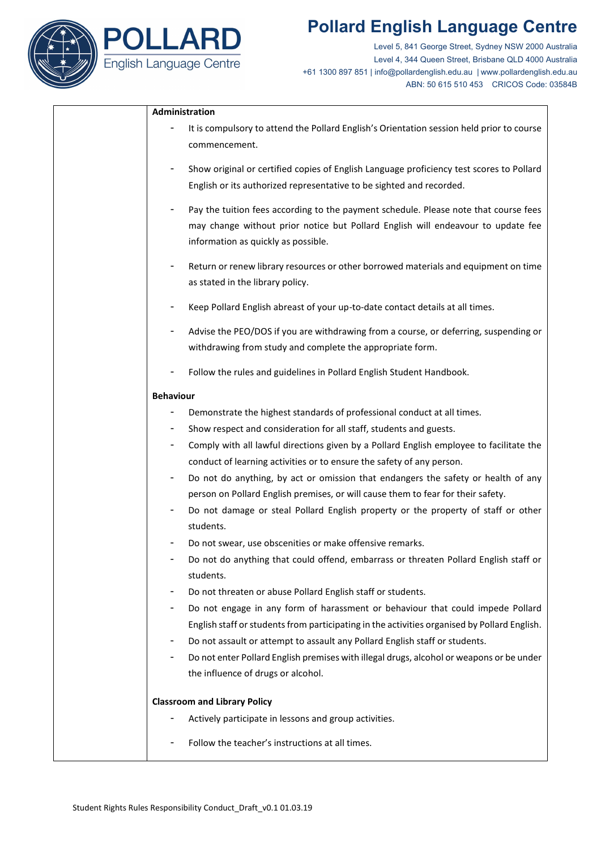## **Pollard English Language Centre**



Level 5, 841 George Street, Sydney NSW 2000 Australia Level 4, 344 Queen Street, Brisbane QLD 4000 Australia +61 1300 897 851 | info@pollardenglish.edu.au | www.pollardenglish.edu.au ABN: 50 615 510 453 CRICOS Code: 03584B

### **Administration**

- It is compulsory to attend the Pollard English's Orientation session held prior to course commencement.
- Show original or certified copies of English Language proficiency test scores to Pollard English or its authorized representative to be sighted and recorded.
- Pay the tuition fees according to the payment schedule. Please note that course fees may change without prior notice but Pollard English will endeavour to update fee information as quickly as possible.
- Return or renew library resources or other borrowed materials and equipment on time as stated in the library policy.
- Keep Pollard English abreast of your up-to-date contact details at all times.
- Advise the PEO/DOS if you are withdrawing from a course, or deferring, suspending or withdrawing from study and complete the appropriate form.
- Follow the rules and guidelines in Pollard English Student Handbook.

### **Behaviour**

- Demonstrate the highest standards of professional conduct at all times.
- Show respect and consideration for all staff, students and guests.
- Comply with all lawful directions given by a Pollard English employee to facilitate the conduct of learning activities or to ensure the safety of any person.
- Do not do anything, by act or omission that endangers the safety or health of any person on Pollard English premises, or will cause them to fear for their safety.
- Do not damage or steal Pollard English property or the property of staff or other students.
- Do not swear, use obscenities or make offensive remarks.
- Do not do anything that could offend, embarrass or threaten Pollard English staff or students.
- Do not threaten or abuse Pollard English staff or students.
- Do not engage in any form of harassment or behaviour that could impede Pollard English staff or students from participating in the activities organised by Pollard English.
- Do not assault or attempt to assault any Pollard English staff or students.
- Do not enter Pollard English premises with illegal drugs, alcohol or weapons or be under the influence of drugs or alcohol.

#### **Classroom and Library Policy**

- Actively participate in lessons and group activities.
- Follow the teacher's instructions at all times.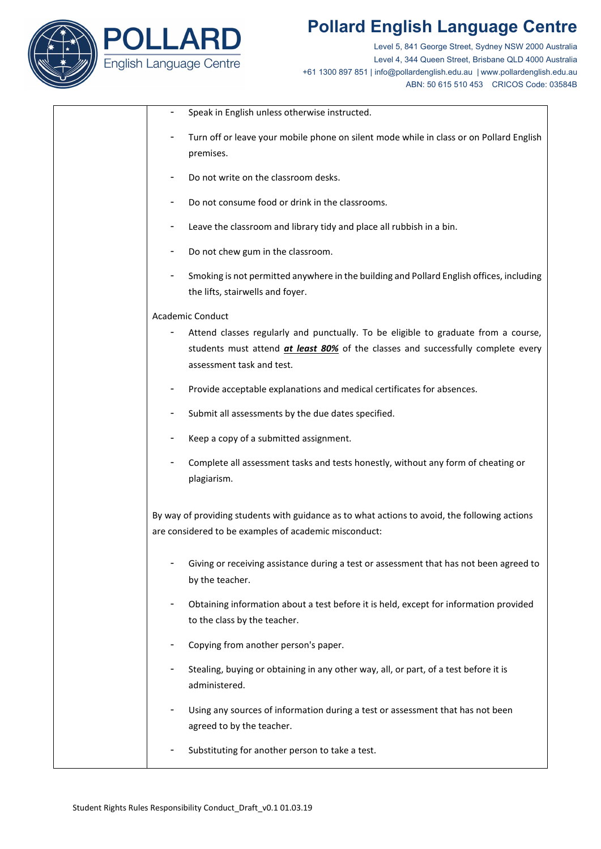



Level 5, 841 George Street, Sydney NSW 2000 Australia Level 4, 344 Queen Street, Brisbane QLD 4000 Australia +61 1300 897 851 | info@pollardenglish.edu.au | www.pollardenglish.edu.au ABN: 50 615 510 453 CRICOS Code: 03584B

|                         | Speak in English unless otherwise instructed.                                                                                                                                                              |  |
|-------------------------|------------------------------------------------------------------------------------------------------------------------------------------------------------------------------------------------------------|--|
|                         | Turn off or leave your mobile phone on silent mode while in class or on Pollard English<br>premises.                                                                                                       |  |
|                         | Do not write on the classroom desks.                                                                                                                                                                       |  |
|                         | Do not consume food or drink in the classrooms.                                                                                                                                                            |  |
|                         | Leave the classroom and library tidy and place all rubbish in a bin.                                                                                                                                       |  |
|                         | Do not chew gum in the classroom.                                                                                                                                                                          |  |
|                         | Smoking is not permitted anywhere in the building and Pollard English offices, including<br>the lifts, stairwells and foyer.                                                                               |  |
| <b>Academic Conduct</b> |                                                                                                                                                                                                            |  |
|                         | Attend classes regularly and punctually. To be eligible to graduate from a course,<br>students must attend <i>at least 80%</i> of the classes and successfully complete every<br>assessment task and test. |  |
|                         | Provide acceptable explanations and medical certificates for absences.                                                                                                                                     |  |
|                         | Submit all assessments by the due dates specified.                                                                                                                                                         |  |
|                         | Keep a copy of a submitted assignment.                                                                                                                                                                     |  |
|                         | Complete all assessment tasks and tests honestly, without any form of cheating or<br>plagiarism.                                                                                                           |  |
|                         | By way of providing students with guidance as to what actions to avoid, the following actions<br>are considered to be examples of academic misconduct:                                                     |  |
|                         | Giving or receiving assistance during a test or assessment that has not been agreed to<br>by the teacher.                                                                                                  |  |
|                         | Obtaining information about a test before it is held, except for information provided<br>to the class by the teacher.                                                                                      |  |
|                         | Copying from another person's paper.                                                                                                                                                                       |  |
|                         | Stealing, buying or obtaining in any other way, all, or part, of a test before it is<br>administered.                                                                                                      |  |
|                         | Using any sources of information during a test or assessment that has not been<br>agreed to by the teacher.                                                                                                |  |
|                         | Substituting for another person to take a test.                                                                                                                                                            |  |